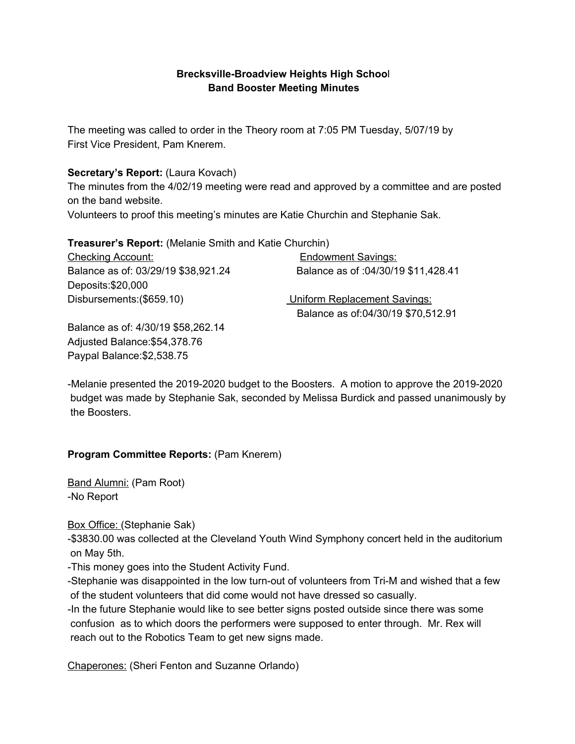### **Brecksville-Broadview Heights High Schoo**l **Band Booster Meeting Minutes**

The meeting was called to order in the Theory room at 7:05 PM Tuesday, 5/07/19 by First Vice President, Pam Knerem.

### **Secretary's Report:** (Laura Kovach)

The minutes from the 4/02/19 meeting were read and approved by a committee and are posted on the band website.

Volunteers to proof this meeting's minutes are Katie Churchin and Stephanie Sak.

**Treasurer's Report:** (Melanie Smith and Katie Churchin)

| <b>Checking Account:</b>            | <b>Endowment Savings:</b>           |
|-------------------------------------|-------------------------------------|
| Balance as of: 03/29/19 \$38,921.24 | Balance as of: 04/30/19 \$11,428.41 |
| Deposits:\$20,000                   |                                     |
| Disbursements: (\$659.10)           | <b>Uniform Replacement Savings:</b> |
|                                     | Balance as of:04/30/19 \$70,512.91  |

Balance as of: 4/30/19 \$58,262.14 Adjusted Balance:\$54,378.76 Paypal Balance:\$2,538.75

-Melanie presented the 2019-2020 budget to the Boosters. A motion to approve the 2019-2020 budget was made by Stephanie Sak, seconded by Melissa Burdick and passed unanimously by the Boosters.

### **Program Committee Reports:** (Pam Knerem)

Band Alumni: (Pam Root) -No Report

Box Office: (Stephanie Sak)

-\$3830.00 was collected at the Cleveland Youth Wind Symphony concert held in the auditorium on May 5th.

-This money goes into the Student Activity Fund.

-Stephanie was disappointed in the low turn-out of volunteers from Tri-M and wished that a few of the student volunteers that did come would not have dressed so casually.

-In the future Stephanie would like to see better signs posted outside since there was some confusion as to which doors the performers were supposed to enter through. Mr. Rex will reach out to the Robotics Team to get new signs made.

Chaperones: (Sheri Fenton and Suzanne Orlando)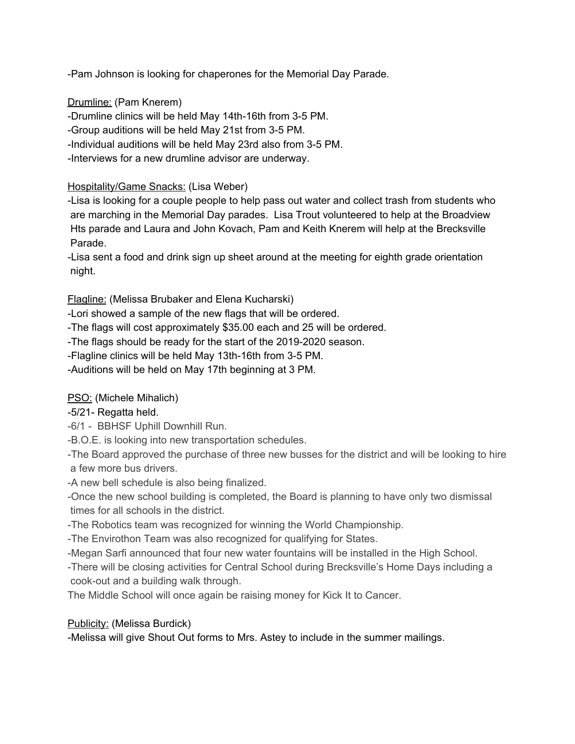-Pam Johnson is looking for chaperones for the Memorial Day Parade.

Drumline: (Pam Knerem)

-Drumline clinics will be held May 14th-16th from 3-5 PM.

-Group auditions will be held May 21st from 3-5 PM.

-Individual auditions will be held May 23rd also from 3-5 PM.

-Interviews for a new drumline advisor are underway.

## Hospitality/Game Snacks: (Lisa Weber)

-Lisa is looking for a couple people to help pass out water and collect trash from students who are marching in the Memorial Day parades. Lisa Trout volunteered to help at the Broadview Hts parade and Laura and John Kovach, Pam and Keith Knerem will help at the Brecksville Parade.

-Lisa sent a food and drink sign up sheet around at the meeting for eighth grade orientation night.

Flagline: (Melissa Brubaker and Elena Kucharski)

-Lori showed a sample of the new flags that will be ordered.

-The flags will cost approximately \$35.00 each and 25 will be ordered.

-The flags should be ready for the start of the 2019-2020 season.

-Flagline clinics will be held May 13th-16th from 3-5 PM.

-Auditions will be held on May 17th beginning at 3 PM.

PSO: (Michele Mihalich)

# -5/21- Regatta held.

-6/1 - BBHSF Uphill Downhill Run.

-B.O.E. is looking into new transportation schedules.

-The Board approved the purchase of three new busses for the district and will be looking to hire a few more bus drivers.

-A new bell schedule is also being finalized.

-Once the new school building is completed, the Board is planning to have only two dismissal times for all schools in the district.

-The Robotics team was recognized for winning the World Championship.

-The Envirothon Team was also recognized for qualifying for States.

-Megan Sarfi announced that four new water fountains will be installed in the High School.

-There will be closing activities for Central School during Brecksville's Home Days including a cook-out and a building walk through.

The Middle School will once again be raising money for Kick It to Cancer.

# Publicity: (Melissa Burdick)

-Melissa will give Shout Out forms to Mrs. Astey to include in the summer mailings.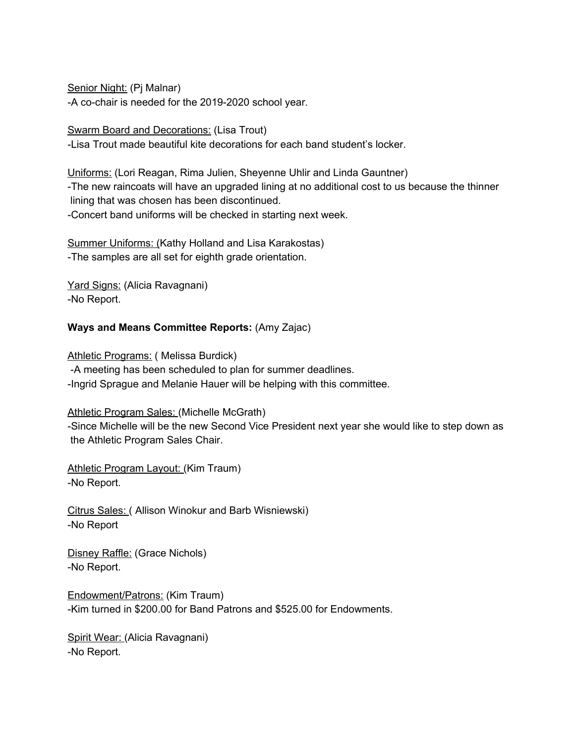Senior Night: (Pj Malnar) -A co-chair is needed for the 2019-2020 school year.

Swarm Board and Decorations: (Lisa Trout) -Lisa Trout made beautiful kite decorations for each band student's locker.

Uniforms: (Lori Reagan, Rima Julien, Sheyenne Uhlir and Linda Gauntner) -The new raincoats will have an upgraded lining at no additional cost to us because the thinner lining that was chosen has been discontinued. -Concert band uniforms will be checked in starting next week.

Summer Uniforms: (Kathy Holland and Lisa Karakostas) -The samples are all set for eighth grade orientation.

Yard Signs: (Alicia Ravagnani) -No Report.

## **Ways and Means Committee Reports:** (Amy Zajac)

Athletic Programs: (Melissa Burdick) -A meeting has been scheduled to plan for summer deadlines. -Ingrid Sprague and Melanie Hauer will be helping with this committee.

Athletic Program Sales: (Michelle McGrath)

-Since Michelle will be the new Second Vice President next year she would like to step down as the Athletic Program Sales Chair.

Athletic Program Layout: (Kim Traum) -No Report.

Citrus Sales: ( Allison Winokur and Barb Wisniewski) -No Report

Disney Raffle: (Grace Nichols) -No Report.

Endowment/Patrons: (Kim Traum) -Kim turned in \$200.00 for Band Patrons and \$525.00 for Endowments.

Spirit Wear: (Alicia Ravagnani) -No Report.